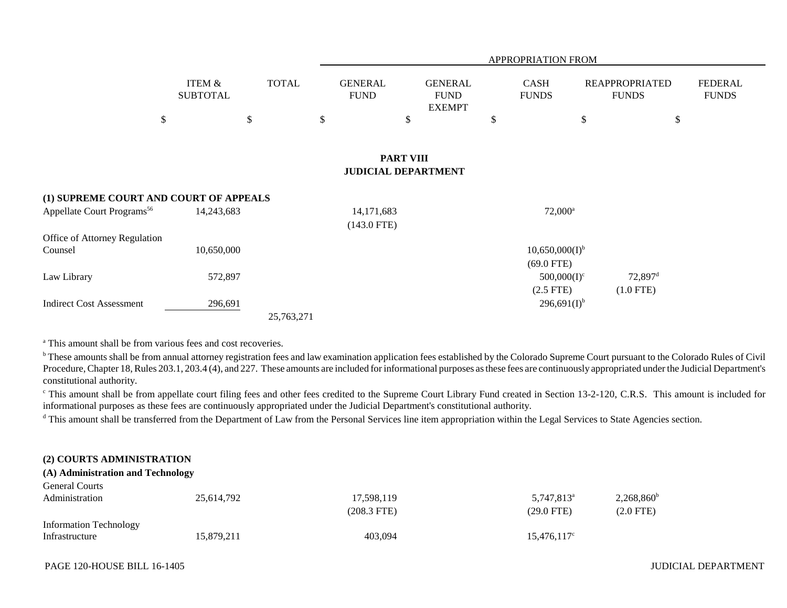|                                          |                                      |              |                               |                                                |             | <b>APPROPRIATION FROM</b>           |                                       |                                |  |
|------------------------------------------|--------------------------------------|--------------|-------------------------------|------------------------------------------------|-------------|-------------------------------------|---------------------------------------|--------------------------------|--|
|                                          | <b>ITEM &amp;</b><br><b>SUBTOTAL</b> | <b>TOTAL</b> | <b>GENERAL</b><br><b>FUND</b> | <b>GENERAL</b><br><b>FUND</b><br><b>EXEMPT</b> | <b>CASH</b> | <b>FUNDS</b>                        | <b>REAPPROPRIATED</b><br><b>FUNDS</b> | <b>FEDERAL</b><br><b>FUNDS</b> |  |
| \$                                       |                                      | \$           | \$                            | \$                                             | \$          | \$                                  |                                       | \$                             |  |
|                                          |                                      |              |                               | <b>PART VIII</b><br><b>JUDICIAL DEPARTMENT</b> |             |                                     |                                       |                                |  |
| (1) SUPREME COURT AND COURT OF APPEALS   |                                      |              |                               |                                                |             |                                     |                                       |                                |  |
| Appellate Court Programs <sup>56</sup>   | 14,243,683                           |              | 14, 171, 683<br>$(143.0$ FTE) |                                                |             | $72,000^a$                          |                                       |                                |  |
| Office of Attorney Regulation<br>Counsel | 10,650,000                           |              |                               |                                                |             | $10,650,000(I)^{b}$<br>$(69.0$ FTE) |                                       |                                |  |
| Law Library                              | 572,897                              |              |                               |                                                |             | $500,000(I)^c$                      | $72,897$ <sup>d</sup>                 |                                |  |
| <b>Indirect Cost Assessment</b>          | 296,691                              |              |                               |                                                |             | $(2.5$ FTE)<br>$296,691(I)^{b}$     | $(1.0$ FTE)                           |                                |  |
|                                          |                                      | 25,763,271   |                               |                                                |             |                                     |                                       |                                |  |

<sup>a</sup> This amount shall be from various fees and cost recoveries.

<sup>b</sup> These amounts shall be from annual attorney registration fees and law examination application fees established by the Colorado Supreme Court pursuant to the Colorado Rules of Civil Procedure, Chapter 18, Rules 203.1, 203.4 (4), and 227. These amounts are included for informational purposes as these fees are continuously appropriated under the Judicial Department's constitutional authority.

<sup>c</sup> This amount shall be from appellate court filing fees and other fees credited to the Supreme Court Library Fund created in Section 13-2-120, C.R.S. This amount is included for informational purposes as these fees are continuously appropriated under the Judicial Department's constitutional authority.

<sup>d</sup> This amount shall be transferred from the Department of Law from the Personal Services line item appropriation within the Legal Services to State Agencies section.

### **(2) COURTS ADMINISTRATION**

# **(A) Administration and Technology**

| <b>General Courts</b>         |            |             |                      |                     |
|-------------------------------|------------|-------------|----------------------|---------------------|
| Administration                | 25,614,792 | 17,598,119  | $5,747,813^{\circ}$  | $2,268,860^{\rm b}$ |
|                               |            | (208.3 FTE) | $(29.0 \text{ FTE})$ | $(2.0$ FTE)         |
| <b>Information Technology</b> |            |             |                      |                     |
| Infrastructure                | 15,879,211 | 403,094     | $15,476,117^{\circ}$ |                     |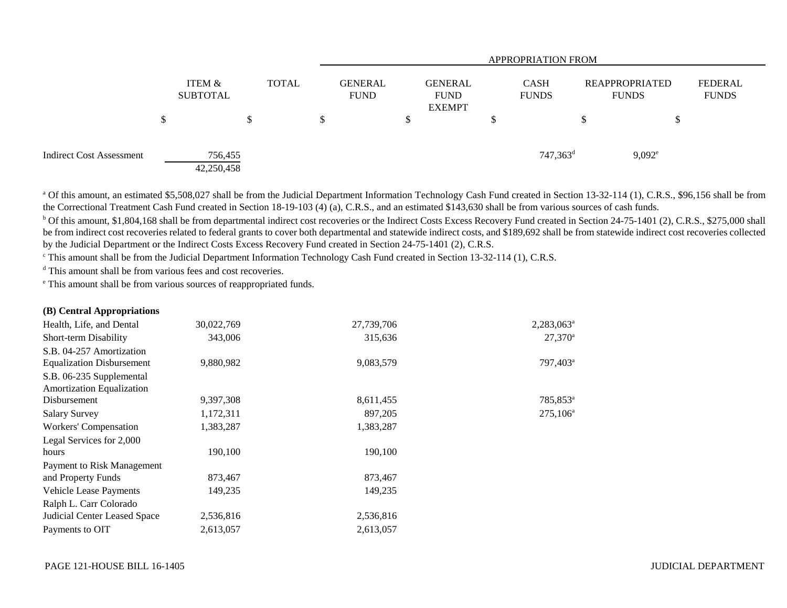|                                 |   |                           |   |              |   | <b>APPROPRIATION FROM</b>     |   |                                                |    |                             |    |                                       |                                |  |
|---------------------------------|---|---------------------------|---|--------------|---|-------------------------------|---|------------------------------------------------|----|-----------------------------|----|---------------------------------------|--------------------------------|--|
|                                 |   | ITEM &<br><b>SUBTOTAL</b> |   | <b>TOTAL</b> |   | <b>GENERAL</b><br><b>FUND</b> |   | <b>GENERAL</b><br><b>FUND</b><br><b>EXEMPT</b> |    | <b>CASH</b><br><b>FUNDS</b> |    | <b>REAPPROPRIATED</b><br><b>FUNDS</b> | <b>FEDERAL</b><br><b>FUNDS</b> |  |
|                                 | ⊅ |                           | ◡ |              | S |                               | D |                                                | \$ |                             | Ъ. | J.                                    |                                |  |
| <b>Indirect Cost Assessment</b> |   | 756,455<br>42,250,458     |   |              |   |                               |   |                                                |    | $747,363$ <sup>d</sup>      |    | $9,092^e$                             |                                |  |

<sup>a</sup> Of this amount, an estimated \$5,508,027 shall be from the Judicial Department Information Technology Cash Fund created in Section 13-32-114 (1), C.R.S., \$96,156 shall be from the Correctional Treatment Cash Fund created in Section 18-19-103 (4) (a), C.R.S., and an estimated \$143,630 shall be from various sources of cash funds.

<sup>b</sup> Of this amount, \$1,804,168 shall be from departmental indirect cost recoveries or the Indirect Costs Excess Recovery Fund created in Section 24-75-1401 (2), C.R.S., \$275,000 shall be from indirect cost recoveries related to federal grants to cover both departmental and statewide indirect costs, and \$189,692 shall be from statewide indirect cost recoveries collected by the Judicial Department or the Indirect Costs Excess Recovery Fund created in Section 24-75-1401 (2), C.R.S.

c This amount shall be from the Judicial Department Information Technology Cash Fund created in Section 13-32-114 (1), C.R.S.

<sup>d</sup> This amount shall be from various fees and cost recoveries.

e This amount shall be from various sources of reappropriated funds.

| $(D)$ central <i>Appropriations</i> |            |            |                        |
|-------------------------------------|------------|------------|------------------------|
| Health, Life, and Dental            | 30,022,769 | 27,739,706 | 2,283,063 <sup>a</sup> |
| Short-term Disability               | 343,006    | 315,636    | $27,370^a$             |
| S.B. 04-257 Amortization            |            |            |                        |
| <b>Equalization Disbursement</b>    | 9,880,982  | 9,083,579  | 797,403 <sup>a</sup>   |
| S.B. 06-235 Supplemental            |            |            |                        |
| <b>Amortization Equalization</b>    |            |            |                        |
| Disbursement                        | 9,397,308  | 8,611,455  | 785,853 <sup>a</sup>   |
| <b>Salary Survey</b>                | 1,172,311  | 897,205    | $275,106^a$            |
| Workers' Compensation               | 1,383,287  | 1,383,287  |                        |
| Legal Services for 2,000            |            |            |                        |
| hours                               | 190,100    | 190,100    |                        |
| Payment to Risk Management          |            |            |                        |
| and Property Funds                  | 873,467    | 873,467    |                        |
| <b>Vehicle Lease Payments</b>       | 149,235    | 149,235    |                        |
| Ralph L. Carr Colorado              |            |            |                        |
| Judicial Center Leased Space        | 2,536,816  | 2,536,816  |                        |
| Payments to OIT                     | 2,613,057  | 2,613,057  |                        |
|                                     |            |            |                        |

**(B) Central Appropriations**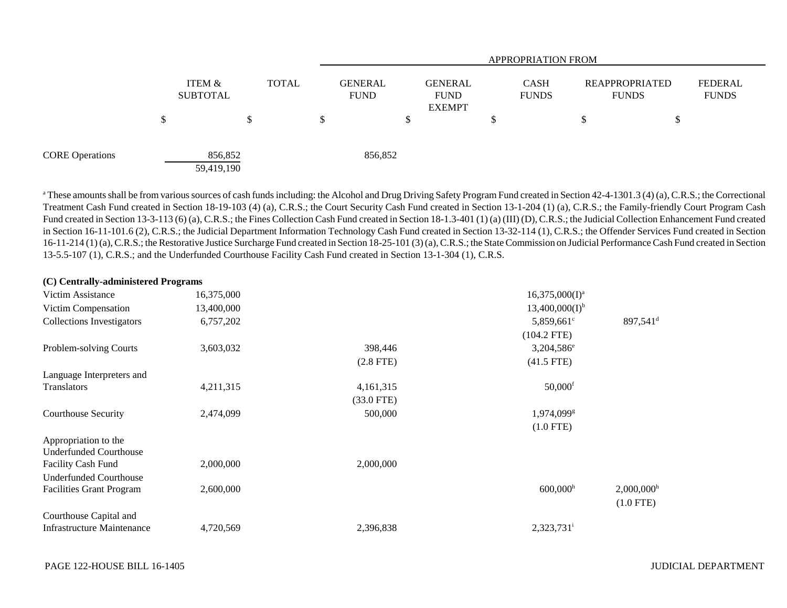|                        |   |                           |              |                               |                                                | <b>APPROPRIATION FROM</b>   |                                       |                                |  |  |  |
|------------------------|---|---------------------------|--------------|-------------------------------|------------------------------------------------|-----------------------------|---------------------------------------|--------------------------------|--|--|--|
|                        |   | ITEM &<br><b>SUBTOTAL</b> | <b>TOTAL</b> | <b>GENERAL</b><br><b>FUND</b> | <b>GENERAL</b><br><b>FUND</b><br><b>EXEMPT</b> | <b>CASH</b><br><b>FUNDS</b> | <b>REAPPROPRIATED</b><br><b>FUNDS</b> | <b>FEDERAL</b><br><b>FUNDS</b> |  |  |  |
|                        | Φ | \$                        | D.           |                               |                                                | د0                          |                                       | J                              |  |  |  |
| <b>CORE Operations</b> |   | 856,852<br>59,419,190     |              | 856,852                       |                                                |                             |                                       |                                |  |  |  |

<sup>a</sup> These amounts shall be from various sources of cash funds including: the Alcohol and Drug Driving Safety Program Fund created in Section 42-4-1301.3 (4) (a), C.R.S.; the Correctional Treatment Cash Fund created in Section 18-19-103 (4) (a), C.R.S.; the Court Security Cash Fund created in Section 13-1-204 (1) (a), C.R.S.; the Family-friendly Court Program Cash Fund created in Section 13-3-113 (6) (a), C.R.S.; the Fines Collection Cash Fund created in Section 18-1.3-401 (1) (a) (III) (D), C.R.S.; the Judicial Collection Enhancement Fund created in Section 16-11-101.6 (2), C.R.S.; the Judicial Department Information Technology Cash Fund created in Section 13-32-114 (1), C.R.S.; the Offender Services Fund created in Section 16-11-214 (1) (a), C.R.S.; the Restorative Justice Surcharge Fund created in Section 18-25-101 (3) (a), C.R.S.; the State Commission on Judicial Performance Cash Fund created in Section 13-5.5-107 (1), C.R.S.; and the Underfunded Courthouse Facility Cash Fund created in Section 13-1-304 (1), C.R.S.

| (C) Centrally-administered Programs |            |              |                          |                          |
|-------------------------------------|------------|--------------|--------------------------|--------------------------|
| Victim Assistance                   | 16,375,000 |              | $16,375,000(I)^a$        |                          |
| Victim Compensation                 | 13,400,000 |              | $13,400,000(I)^{b}$      |                          |
| <b>Collections Investigators</b>    | 6,757,202  |              | 5,859,661 $^{\circ}$     | $897,541$ <sup>d</sup>   |
|                                     |            |              | $(104.2$ FTE)            |                          |
| Problem-solving Courts              | 3,603,032  | 398,446      | 3,204,586 <sup>e</sup>   |                          |
|                                     |            | $(2.8$ FTE)  | $(41.5$ FTE)             |                          |
| Language Interpreters and           |            |              |                          |                          |
| Translators                         | 4,211,315  | 4,161,315    | $50,000$ <sup>f</sup>    |                          |
|                                     |            | $(33.0$ FTE) |                          |                          |
| <b>Courthouse Security</b>          | 2,474,099  | 500,000      | $1,974,099$ <sup>g</sup> |                          |
|                                     |            |              | $(1.0$ FTE)              |                          |
| Appropriation to the                |            |              |                          |                          |
| <b>Underfunded Courthouse</b>       |            |              |                          |                          |
| <b>Facility Cash Fund</b>           | 2,000,000  | 2,000,000    |                          |                          |
| <b>Underfunded Courthouse</b>       |            |              |                          |                          |
| <b>Facilities Grant Program</b>     | 2,600,000  |              | 600,000 <sup>h</sup>     | $2,000,000$ <sup>h</sup> |
|                                     |            |              |                          | $(1.0$ FTE)              |
| Courthouse Capital and              |            |              |                          |                          |
| <b>Infrastructure Maintenance</b>   | 4,720,569  | 2,396,838    | $2,323,731$ <sup>i</sup> |                          |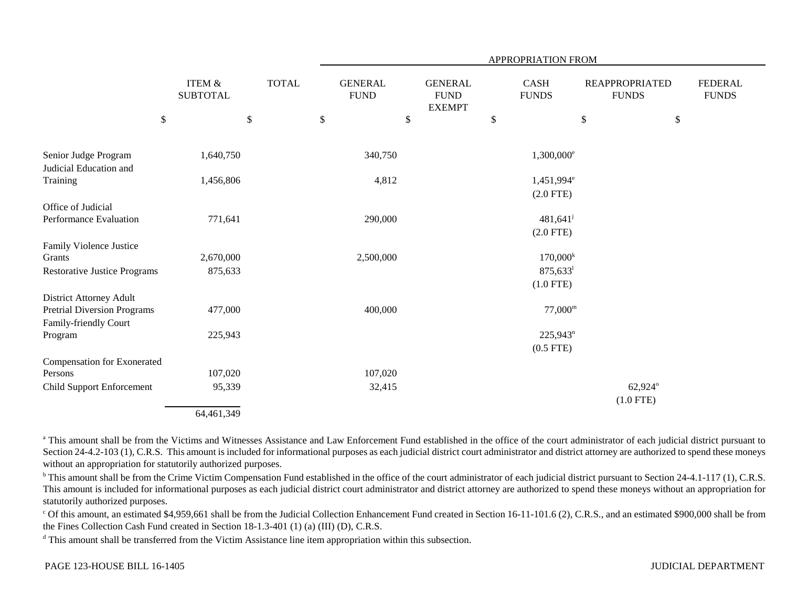|                                                |                                      |            |              | APPROPRIATION FROM |                               |    |                                                 |    |                              |      |                                       |    |                                |
|------------------------------------------------|--------------------------------------|------------|--------------|--------------------|-------------------------------|----|-------------------------------------------------|----|------------------------------|------|---------------------------------------|----|--------------------------------|
|                                                | <b>ITEM &amp;</b><br><b>SUBTOTAL</b> |            | <b>TOTAL</b> |                    | <b>GENERAL</b><br><b>FUND</b> |    | <b>GENERAL</b><br>${\rm FUND}$<br><b>EXEMPT</b> |    | <b>CASH</b><br><b>FUNDS</b>  |      | <b>REAPPROPRIATED</b><br><b>FUNDS</b> |    | <b>FEDERAL</b><br><b>FUNDS</b> |
|                                                | \$                                   | \$         |              | \$                 |                               | \$ |                                                 | \$ |                              | $\$$ |                                       | \$ |                                |
| Senior Judge Program<br>Judicial Education and |                                      | 1,640,750  |              |                    | 340,750                       |    |                                                 |    | $1,300,000^{\circ}$          |      |                                       |    |                                |
| Training                                       |                                      | 1,456,806  |              |                    | 4,812                         |    |                                                 |    | $1,451,994^e$<br>$(2.0$ FTE) |      |                                       |    |                                |
| Office of Judicial                             |                                      |            |              |                    |                               |    |                                                 |    |                              |      |                                       |    |                                |
| Performance Evaluation                         |                                      | 771,641    |              |                    | 290,000                       |    |                                                 |    | 481,641                      |      |                                       |    |                                |
|                                                |                                      |            |              |                    |                               |    |                                                 |    | $(2.0$ FTE)                  |      |                                       |    |                                |
| Family Violence Justice                        |                                      |            |              |                    |                               |    |                                                 |    |                              |      |                                       |    |                                |
| Grants                                         |                                      | 2,670,000  |              |                    | 2,500,000                     |    |                                                 |    | $170,000^k$                  |      |                                       |    |                                |
| <b>Restorative Justice Programs</b>            |                                      | 875,633    |              |                    |                               |    |                                                 |    | $875,633^1$                  |      |                                       |    |                                |
|                                                |                                      |            |              |                    |                               |    |                                                 |    | $(1.0$ FTE)                  |      |                                       |    |                                |
| <b>District Attorney Adult</b>                 |                                      |            |              |                    |                               |    |                                                 |    |                              |      |                                       |    |                                |
| <b>Pretrial Diversion Programs</b>             |                                      | 477,000    |              |                    | 400,000                       |    |                                                 |    | $77,000^{\rm m}$             |      |                                       |    |                                |
| Family-friendly Court                          |                                      |            |              |                    |                               |    |                                                 |    |                              |      |                                       |    |                                |
| Program                                        |                                      | 225,943    |              |                    |                               |    |                                                 |    | $225,943^n$                  |      |                                       |    |                                |
|                                                |                                      |            |              |                    |                               |    |                                                 |    | $(0.5$ FTE)                  |      |                                       |    |                                |
| Compensation for Exonerated                    |                                      |            |              |                    |                               |    |                                                 |    |                              |      |                                       |    |                                |
| Persons                                        |                                      | 107,020    |              |                    | 107,020                       |    |                                                 |    |                              |      |                                       |    |                                |
| <b>Child Support Enforcement</b>               |                                      | 95,339     |              |                    | 32,415                        |    |                                                 |    |                              |      | 62,924°                               |    |                                |
|                                                |                                      |            |              |                    |                               |    |                                                 |    |                              |      | $(1.0$ FTE)                           |    |                                |
|                                                |                                      | 64,461,349 |              |                    |                               |    |                                                 |    |                              |      |                                       |    |                                |

<sup>a</sup> This amount shall be from the Victims and Witnesses Assistance and Law Enforcement Fund established in the office of the court administrator of each judicial district pursuant to Section 24-4.2-103 (1), C.R.S. This amount is included for informational purposes as each judicial district court administrator and district attorney are authorized to spend these moneys without an appropriation for statutorily authorized purposes.

<sup>b</sup> This amount shall be from the Crime Victim Compensation Fund established in the office of the court administrator of each judicial district pursuant to Section 24-4.1-117 (1), C.R.S. This amount is included for informational purposes as each judicial district court administrator and district attorney are authorized to spend these moneys without an appropriation for statutorily authorized purposes.

<sup>c</sup> Of this amount, an estimated \$4,959,661 shall be from the Judicial Collection Enhancement Fund created in Section 16-11-101.6 (2), C.R.S., and an estimated \$900,000 shall be from the Fines Collection Cash Fund created in Section 18-1.3-401 (1) (a) (III) (D), C.R.S.

<sup>d</sup> This amount shall be transferred from the Victim Assistance line item appropriation within this subsection.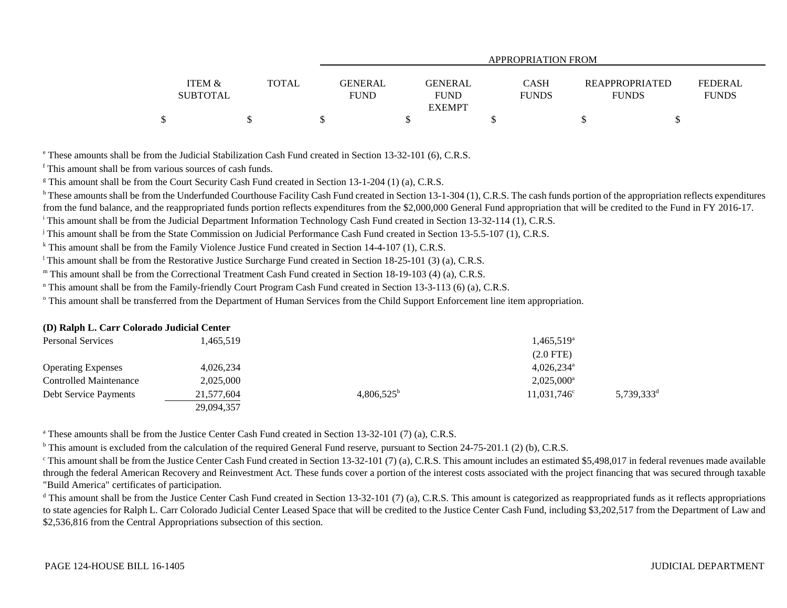|                                      |       | APPROPRIATION FROM            |                               |                             |                                       |                                |  |  |  |  |
|--------------------------------------|-------|-------------------------------|-------------------------------|-----------------------------|---------------------------------------|--------------------------------|--|--|--|--|
| <b>ITEM &amp;</b><br><b>SUBTOTAL</b> | TOTAL | <b>GENERAL</b><br><b>FUND</b> | <b>GENERAL</b><br><b>FUND</b> | <b>CASH</b><br><b>FUNDS</b> | <b>REAPPROPRIATED</b><br><b>FUNDS</b> | <b>FEDERAL</b><br><b>FUNDS</b> |  |  |  |  |
|                                      |       |                               | <b>EXEMPT</b>                 |                             |                                       |                                |  |  |  |  |
| \$                                   |       |                               |                               |                             |                                       |                                |  |  |  |  |

e These amounts shall be from the Judicial Stabilization Cash Fund created in Section 13-32-101 (6), C.R.S.

f This amount shall be from various sources of cash funds.

<sup>g</sup> This amount shall be from the Court Security Cash Fund created in Section 13-1-204 (1) (a), C.R.S.

<sup>h</sup> These amounts shall be from the Underfunded Courthouse Facility Cash Fund created in Section 13-1-304 (1), C.R.S. The cash funds portion of the appropriation reflects expenditures from the fund balance, and the reappropriated funds portion reflects expenditures from the \$2,000,000 General Fund appropriation that will be credited to the Fund in FY 2016-17.

i This amount shall be from the Judicial Department Information Technology Cash Fund created in Section 13-32-114 (1), C.R.S.

<sup>j</sup> This amount shall be from the State Commission on Judicial Performance Cash Fund created in Section 13-5.5-107 (1), C.R.S.

<sup>k</sup> This amount shall be from the Family Violence Justice Fund created in Section 14-4-107 (1), C.R.S.

<sup>1</sup> This amount shall be from the Restorative Justice Surcharge Fund created in Section 18-25-101 (3) (a), C.R.S.

m This amount shall be from the Correctional Treatment Cash Fund created in Section 18-19-103 (4) (a), C.R.S.

n This amount shall be from the Family-friendly Court Program Cash Fund created in Section 13-3-113 (6) (a), C.R.S.

<sup>o</sup> This amount shall be transferred from the Department of Human Services from the Child Support Enforcement line item appropriation.

#### **(D) Ralph L. Carr Colorado Judicial Center**

| <b>Personal Services</b>  | 1,465,519  |                     | $1,465,519^{\circ}$      |                        |
|---------------------------|------------|---------------------|--------------------------|------------------------|
|                           |            |                     | $(2.0$ FTE)              |                        |
| <b>Operating Expenses</b> | 4,026,234  |                     | $4,026,234$ <sup>a</sup> |                        |
| Controlled Maintenance    | 2.025.000  |                     | $2,025,000^{\circ}$      |                        |
| Debt Service Payments     | 21,577,604 | $4,806,525^{\rm b}$ | $11,031,746^{\circ}$     | 5,739,333 <sup>d</sup> |
|                           | 29,094,357 |                     |                          |                        |

<sup>a</sup> These amounts shall be from the Justice Center Cash Fund created in Section 13-32-101 (7) (a), C.R.S.

<sup>b</sup> This amount is excluded from the calculation of the required General Fund reserve, pursuant to Section 24-75-201.1 (2) (b), C.R.S.

 $\degree$ This amount shall be from the Justice Center Cash Fund created in Section 13-32-101 (7) (a), C.R.S. This amount includes an estimated \$5,498,017 in federal revenues made available through the federal American Recovery and Reinvestment Act. These funds cover a portion of the interest costs associated with the project financing that was secured through taxable "Build America" certificates of participation.

<sup>d</sup> This amount shall be from the Justice Center Cash Fund created in Section 13-32-101 (7) (a), C.R.S. This amount is categorized as reappropriated funds as it reflects appropriations to state agencies for Ralph L. Carr Colorado Judicial Center Leased Space that will be credited to the Justice Center Cash Fund, including \$3,202,517 from the Department of Law and \$2,536,816 from the Central Appropriations subsection of this section.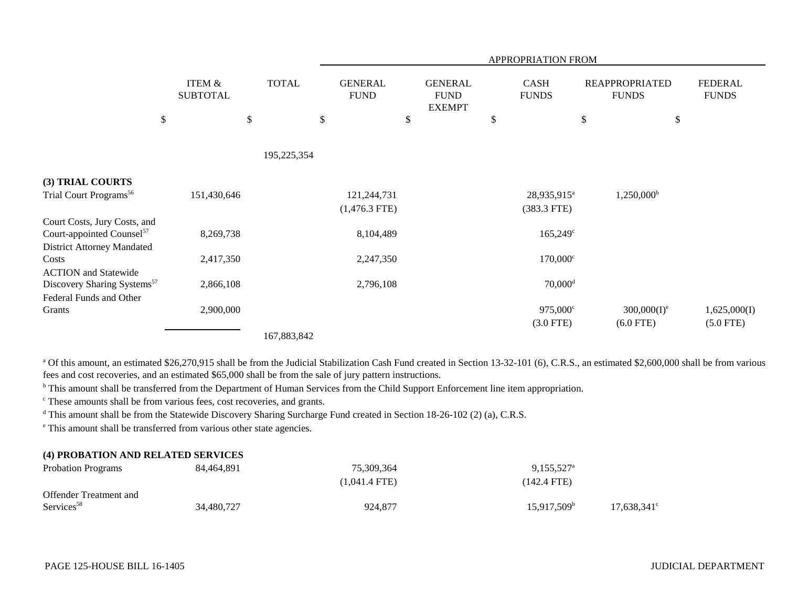|                                         |                           |              |                               | APPROPRIATION FROM                             |                             |                                       |                                |  |  |  |  |  |
|-----------------------------------------|---------------------------|--------------|-------------------------------|------------------------------------------------|-----------------------------|---------------------------------------|--------------------------------|--|--|--|--|--|
|                                         | ITEM &<br><b>SUBTOTAL</b> | <b>TOTAL</b> | <b>GENERAL</b><br><b>FUND</b> | <b>GENERAL</b><br><b>FUND</b><br><b>EXEMPT</b> | <b>CASH</b><br><b>FUNDS</b> | <b>REAPPROPRIATED</b><br><b>FUNDS</b> | <b>FEDERAL</b><br><b>FUNDS</b> |  |  |  |  |  |
|                                         | $\$$                      | \$           | \$                            | \$                                             | \$                          | $\$$                                  | \$                             |  |  |  |  |  |
|                                         |                           | 195,225,354  |                               |                                                |                             |                                       |                                |  |  |  |  |  |
| (3) TRIAL COURTS                        |                           |              |                               |                                                |                             |                                       |                                |  |  |  |  |  |
| Trial Court Programs <sup>56</sup>      | 151,430,646               |              | 121,244,731                   |                                                | 28,935,915 <sup>a</sup>     | $1,250,000^{\rm b}$                   |                                |  |  |  |  |  |
|                                         |                           |              | $(1,476.3$ FTE)               |                                                | $(383.3$ FTE)               |                                       |                                |  |  |  |  |  |
| Court Costs, Jury Costs, and            |                           |              |                               |                                                |                             |                                       |                                |  |  |  |  |  |
| Court-appointed Counsel <sup>57</sup>   | 8,269,738                 |              | 8,104,489                     |                                                | $165,249^{\circ}$           |                                       |                                |  |  |  |  |  |
| <b>District Attorney Mandated</b>       |                           |              |                               |                                                |                             |                                       |                                |  |  |  |  |  |
| Costs                                   | 2,417,350                 |              | 2,247,350                     |                                                | $170,000^{\circ}$           |                                       |                                |  |  |  |  |  |
| <b>ACTION</b> and Statewide             |                           |              |                               |                                                |                             |                                       |                                |  |  |  |  |  |
| Discovery Sharing Systems <sup>57</sup> | 2,866,108                 |              | 2,796,108                     |                                                | $70,000$ <sup>d</sup>       |                                       |                                |  |  |  |  |  |
| Federal Funds and Other                 |                           |              |                               |                                                |                             |                                       |                                |  |  |  |  |  |
| Grants                                  | 2,900,000                 |              |                               |                                                | 975,000°                    | $300,000(I)^e$                        | 1,625,000(I)                   |  |  |  |  |  |
|                                         |                           |              |                               |                                                | $(3.0$ FTE)                 | $(6.0$ FTE)                           | $(5.0$ FTE)                    |  |  |  |  |  |
|                                         |                           | 167,883,842  |                               |                                                |                             |                                       |                                |  |  |  |  |  |

<sup>a</sup> Of this amount, an estimated \$26,270,915 shall be from the Judicial Stabilization Cash Fund created in Section 13-32-101 (6), C.R.S., an estimated \$2,600,000 shall be from various fees and cost recoveries, and an estimated \$65,000 shall be from the sale of jury pattern instructions.

<sup>b</sup> This amount shall be transferred from the Department of Human Services from the Child Support Enforcement line item appropriation.

c These amounts shall be from various fees, cost recoveries, and grants.

<sup>d</sup> This amount shall be from the Statewide Discovery Sharing Surcharge Fund created in Section 18-26-102 (2) (a), C.R.S.

e This amount shall be transferred from various other state agencies.

### **(4) PROBATION AND RELATED SERVICES**

| <b>Probation Programs</b>     | 84,464,891 | 75,309,364      | $9,155,527^{\circ}$  |                      |
|-------------------------------|------------|-----------------|----------------------|----------------------|
|                               |            | $(1.041.4$ FTE) | (142.4 FTE)          |                      |
| <b>Offender Treatment and</b> |            |                 |                      |                      |
| Services <sup>58</sup>        | 34,480,727 | 924,877         | $15.917.509^{\circ}$ | $17,638,341^{\circ}$ |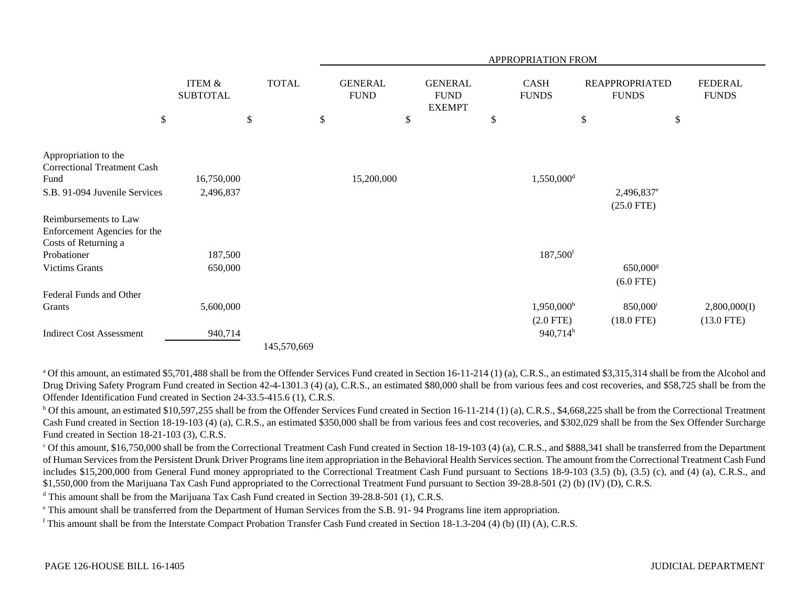|                                                                                                     |                                      |              |                               |                                                | APPROPRIATION FROM                      |              |                                                     |                                |
|-----------------------------------------------------------------------------------------------------|--------------------------------------|--------------|-------------------------------|------------------------------------------------|-----------------------------------------|--------------|-----------------------------------------------------|--------------------------------|
|                                                                                                     | <b>ITEM &amp;</b><br><b>SUBTOTAL</b> | <b>TOTAL</b> | <b>GENERAL</b><br><b>FUND</b> | <b>GENERAL</b><br><b>FUND</b><br><b>EXEMPT</b> | <b>CASH</b><br><b>FUNDS</b>             | <b>FUNDS</b> | <b>REAPPROPRIATED</b>                               | <b>FEDERAL</b><br><b>FUNDS</b> |
| $\$\,$                                                                                              |                                      | \$           | \$                            | \$                                             | \$                                      | $\mathbb{S}$ | \$                                                  |                                |
| Appropriation to the<br><b>Correctional Treatment Cash</b><br>Fund<br>S.B. 91-094 Juvenile Services | 16,750,000<br>2,496,837              |              | 15,200,000                    |                                                | 1,550,000 <sup>d</sup>                  |              | 2,496,837 <sup>e</sup><br>$(25.0$ FTE)              |                                |
| Reimbursements to Law<br>Enforcement Agencies for the<br>Costs of Returning a<br>Probationer        | 187,500                              |              |                               |                                                | 187,500 <sup>f</sup>                    |              |                                                     |                                |
| <b>Victims Grants</b>                                                                               | 650,000                              |              |                               |                                                |                                         |              | 650,000 <sup>g</sup>                                |                                |
| Federal Funds and Other<br>Grants                                                                   | 5,600,000                            |              |                               |                                                | $1,950,000$ <sup>h</sup><br>$(2.0$ FTE) |              | $(6.0$ FTE)<br>850,000 <sup>i</sup><br>$(18.0$ FTE) | 2,800,000(I)<br>$(13.0$ FTE)   |
| <b>Indirect Cost Assessment</b>                                                                     | 940,714                              | 145,570,669  |                               |                                                | $940,714^h$                             |              |                                                     |                                |

<sup>a</sup> Of this amount, an estimated \$5,701,488 shall be from the Offender Services Fund created in Section 16-11-214 (1) (a), C.R.S., an estimated \$3,315,314 shall be from the Alcohol and Drug Driving Safety Program Fund created in Section 42-4-1301.3 (4) (a), C.R.S., an estimated \$80,000 shall be from various fees and cost recoveries, and \$58,725 shall be from the Offender Identification Fund created in Section 24-33.5-415.6 (1), C.R.S.

 $b$  Of this amount, an estimated \$10,597,255 shall be from the Offender Services Fund created in Section 16-11-214 (1) (a), C.R.S., \$4,668,225 shall be from the Correctional Treatment Cash Fund created in Section 18-19-103 (4) (a), C.R.S., an estimated \$350,000 shall be from various fees and cost recoveries, and \$302,029 shall be from the Sex Offender Surcharge Fund created in Section 18-21-103 (3), C.R.S.

 $c$  Of this amount, \$16,750,000 shall be from the Correctional Treatment Cash Fund created in Section 18-19-103 (4) (a), C.R.S., and \$888,341 shall be transferred from the Department of Human Services from the Persistent Drunk Driver Programs line item appropriation in the Behavioral Health Services section. The amount from the Correctional Treatment Cash Fund includes \$15,200,000 from General Fund money appropriated to the Correctional Treatment Cash Fund pursuant to Sections 18-9-103 (3.5) (b), (3.5) (c), and (4) (a), C.R.S., and \$1,550,000 from the Marijuana Tax Cash Fund appropriated to the Correctional Treatment Fund pursuant to Section 39-28.8-501 (2) (b) (IV) (D), C.R.S.

<sup>d</sup> This amount shall be from the Marijuana Tax Cash Fund created in Section 39-28.8-501 (1), C.R.S.

e This amount shall be transferred from the Department of Human Services from the S.B. 91- 94 Programs line item appropriation.

f This amount shall be from the Interstate Compact Probation Transfer Cash Fund created in Section 18-1.3-204 (4) (b) (II) (A), C.R.S.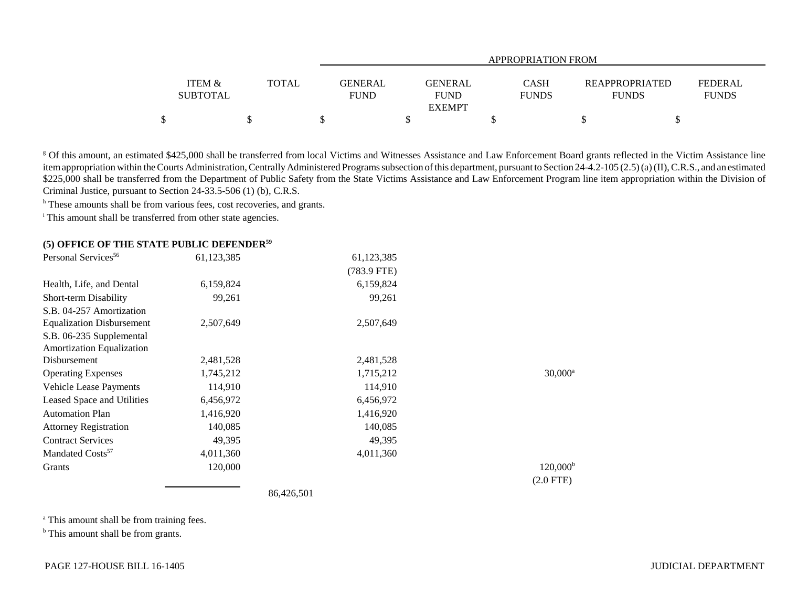|                                      |              |                               | APPROPRIATION FROM                      |                             |  |                                                                  |  |  |  |  |  |
|--------------------------------------|--------------|-------------------------------|-----------------------------------------|-----------------------------|--|------------------------------------------------------------------|--|--|--|--|--|
| <b>ITEM &amp;</b><br><b>SUBTOTAL</b> | <b>TOTAL</b> | <b>GENERAL</b><br><b>FUND</b> | GENERAL<br><b>FUND</b><br><b>EXEMPT</b> | <b>CASH</b><br><b>FUNDS</b> |  | FEDERAL<br><b>REAPPROPRIATED</b><br><b>FUNDS</b><br><b>FUNDS</b> |  |  |  |  |  |
|                                      |              |                               |                                         |                             |  |                                                                  |  |  |  |  |  |

<sup>g</sup> Of this amount, an estimated \$425,000 shall be transferred from local Victims and Witnesses Assistance and Law Enforcement Board grants reflected in the Victim Assistance line item appropriation within the Courts Administration, Centrally Administered Programs subsection of this department, pursuant to Section 24-4.2-105 (2.5) (a) (II), C.R.S., and an estimated \$225,000 shall be transferred from the Department of Public Safety from the State Victims Assistance and Law Enforcement Program line item appropriation within the Division of Criminal Justice, pursuant to Section 24-33.5-506 (1) (b), C.R.S.

<sup>h</sup> These amounts shall be from various fees, cost recoveries, and grants.

<sup>i</sup> This amount shall be transferred from other state agencies.

#### **(5) OFFICE OF THE STATE PUBLIC DEFENDER<sup>59</sup>**

| Personal Services <sup>56</sup>  | 61,123,385 | 61,123,385  |                   |
|----------------------------------|------------|-------------|-------------------|
|                                  |            | (783.9 FTE) |                   |
| Health, Life, and Dental         | 6,159,824  | 6,159,824   |                   |
| Short-term Disability            | 99,261     | 99,261      |                   |
| S.B. 04-257 Amortization         |            |             |                   |
| <b>Equalization Disbursement</b> | 2,507,649  | 2,507,649   |                   |
| S.B. 06-235 Supplemental         |            |             |                   |
| <b>Amortization Equalization</b> |            |             |                   |
| Disbursement                     | 2,481,528  | 2,481,528   |                   |
| <b>Operating Expenses</b>        | 1,745,212  | 1,715,212   | $30,000^a$        |
| <b>Vehicle Lease Payments</b>    | 114,910    | 114,910     |                   |
| Leased Space and Utilities       | 6,456,972  | 6,456,972   |                   |
| <b>Automation Plan</b>           | 1,416,920  | 1,416,920   |                   |
| <b>Attorney Registration</b>     | 140,085    | 140,085     |                   |
| <b>Contract Services</b>         | 49,395     | 49,395      |                   |
| Mandated Costs <sup>57</sup>     | 4,011,360  | 4,011,360   |                   |
| Grants                           | 120,000    |             | $120,000^{\rm b}$ |
|                                  |            |             | $(2.0$ FTE)       |

86,426,501

<sup>a</sup> This amount shall be from training fees.

<sup>b</sup> This amount shall be from grants.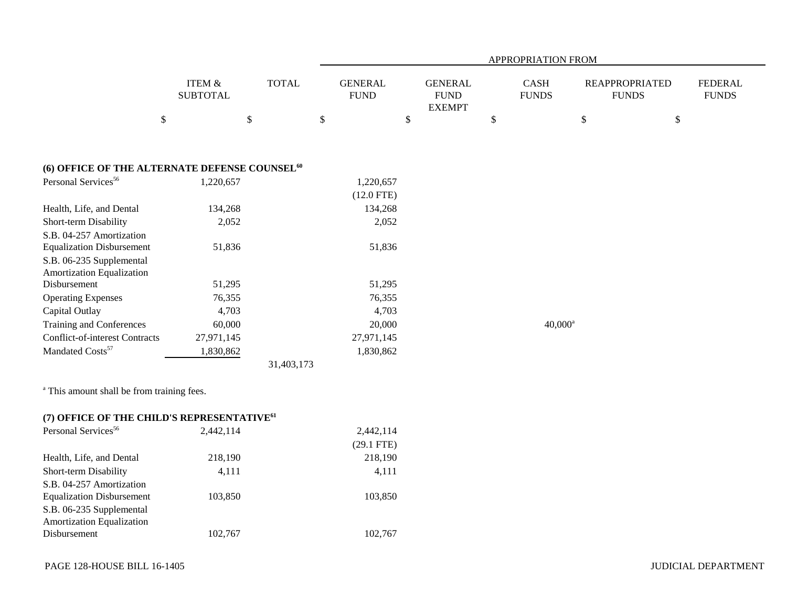|                                                           |                                      |              | APPROPRIATION FROM            |                                                |                             |              |                                       |                                |  |  |  |
|-----------------------------------------------------------|--------------------------------------|--------------|-------------------------------|------------------------------------------------|-----------------------------|--------------|---------------------------------------|--------------------------------|--|--|--|
|                                                           | <b>ITEM &amp;</b><br><b>SUBTOTAL</b> | <b>TOTAL</b> | <b>GENERAL</b><br><b>FUND</b> | <b>GENERAL</b><br><b>FUND</b><br><b>EXEMPT</b> | <b>CASH</b><br><b>FUNDS</b> |              | <b>REAPPROPRIATED</b><br><b>FUNDS</b> | <b>FEDERAL</b><br><b>FUNDS</b> |  |  |  |
|                                                           | \$                                   | $\mathbb{S}$ | $\mathbb{S}$                  | $\$$                                           | $\mathbb{S}$                | $\mathbb{S}$ | $\$$                                  |                                |  |  |  |
|                                                           |                                      |              |                               |                                                |                             |              |                                       |                                |  |  |  |
| (6) OFFICE OF THE ALTERNATE DEFENSE COUNSEL <sup>60</sup> |                                      |              |                               |                                                |                             |              |                                       |                                |  |  |  |
| Personal Services <sup>56</sup>                           | 1,220,657                            |              | 1,220,657<br>$(12.0$ FTE)     |                                                |                             |              |                                       |                                |  |  |  |
| Health, Life, and Dental                                  | 134,268                              |              | 134,268                       |                                                |                             |              |                                       |                                |  |  |  |
| Short-term Disability                                     | 2,052                                |              | 2,052                         |                                                |                             |              |                                       |                                |  |  |  |
| S.B. 04-257 Amortization                                  |                                      |              |                               |                                                |                             |              |                                       |                                |  |  |  |
| <b>Equalization Disbursement</b>                          | 51,836                               |              | 51,836                        |                                                |                             |              |                                       |                                |  |  |  |
| S.B. 06-235 Supplemental                                  |                                      |              |                               |                                                |                             |              |                                       |                                |  |  |  |
| Amortization Equalization                                 |                                      |              |                               |                                                |                             |              |                                       |                                |  |  |  |
| Disbursement                                              | 51,295                               |              | 51,295                        |                                                |                             |              |                                       |                                |  |  |  |
| <b>Operating Expenses</b>                                 | 76,355                               |              | 76,355                        |                                                |                             |              |                                       |                                |  |  |  |
| Capital Outlay                                            | 4,703                                |              | 4,703                         |                                                |                             |              |                                       |                                |  |  |  |
| Training and Conferences                                  | 60,000                               |              | 20,000                        |                                                |                             | $40,000^a$   |                                       |                                |  |  |  |
| <b>Conflict-of-interest Contracts</b>                     | 27,971,145                           |              | 27,971,145                    |                                                |                             |              |                                       |                                |  |  |  |
| Mandated Costs <sup>57</sup>                              | 1,830,862                            |              | 1,830,862                     |                                                |                             |              |                                       |                                |  |  |  |
|                                                           |                                      | 31,403,173   |                               |                                                |                             |              |                                       |                                |  |  |  |
| <sup>a</sup> This amount shall be from training fees.     |                                      |              |                               |                                                |                             |              |                                       |                                |  |  |  |
| (7) OFFICE OF THE CHILD'S REPRESENTATIVE <sup>61</sup>    |                                      |              |                               |                                                |                             |              |                                       |                                |  |  |  |
| Personal Services <sup>56</sup>                           | 2,442,114                            |              | 2,442,114                     |                                                |                             |              |                                       |                                |  |  |  |
|                                                           |                                      |              | $(29.1$ FTE)                  |                                                |                             |              |                                       |                                |  |  |  |
| Health, Life, and Dental                                  | 218,190                              |              | 218,190                       |                                                |                             |              |                                       |                                |  |  |  |
| Short-term Disability                                     | 4,111                                |              | 4,111                         |                                                |                             |              |                                       |                                |  |  |  |
| S.B. 04-257 Amortization                                  |                                      |              |                               |                                                |                             |              |                                       |                                |  |  |  |
| <b>Equalization Disbursement</b>                          | 103,850                              |              | 103,850                       |                                                |                             |              |                                       |                                |  |  |  |
| S.B. 06-235 Supplemental                                  |                                      |              |                               |                                                |                             |              |                                       |                                |  |  |  |
| Amortization Equalization                                 |                                      |              |                               |                                                |                             |              |                                       |                                |  |  |  |
| Disbursement                                              | 102,767                              |              | 102,767                       |                                                |                             |              |                                       |                                |  |  |  |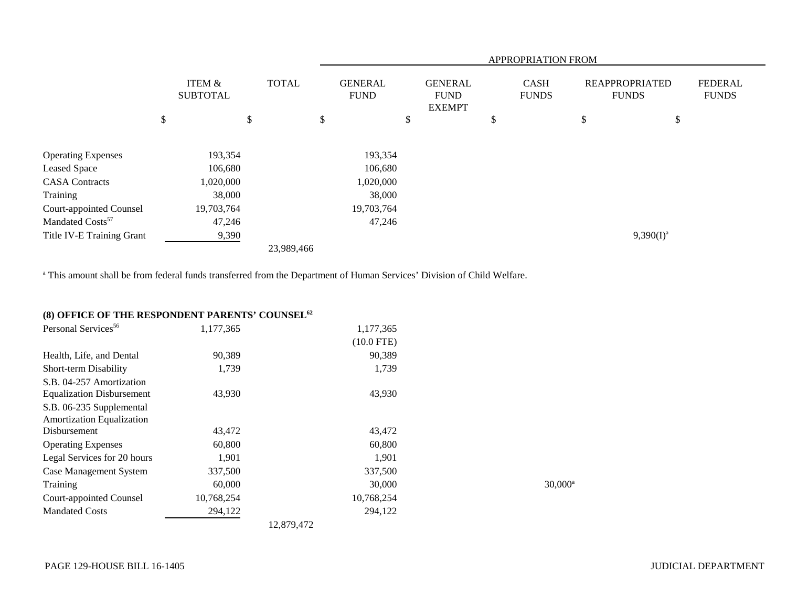|                                |    |                           |    |            | APPROPRIATION FROM |              |                               |  |    |                                                |   |              |                                       |  |                                |
|--------------------------------|----|---------------------------|----|------------|--------------------|--------------|-------------------------------|--|----|------------------------------------------------|---|--------------|---------------------------------------|--|--------------------------------|
|                                |    | ITEM &<br><b>SUBTOTAL</b> |    |            |                    | <b>TOTAL</b> | <b>GENERAL</b><br><b>FUND</b> |  |    | <b>GENERAL</b><br><b>FUND</b><br><b>EXEMPT</b> |   |              | <b>REAPPROPRIATED</b><br><b>FUNDS</b> |  | <b>FEDERAL</b><br><b>FUNDS</b> |
|                                | \$ |                           | \$ |            | \$                 |              | \$                            |  | \$ |                                                | P | \$           |                                       |  |                                |
| <b>Operating Expenses</b>      |    | 193,354                   |    |            |                    | 193,354      |                               |  |    |                                                |   |              |                                       |  |                                |
| Leased Space                   |    | 106,680                   |    |            |                    | 106,680      |                               |  |    |                                                |   |              |                                       |  |                                |
| <b>CASA Contracts</b>          |    | 1,020,000                 |    |            |                    | 1,020,000    |                               |  |    |                                                |   |              |                                       |  |                                |
| Training                       |    | 38,000                    |    |            |                    | 38,000       |                               |  |    |                                                |   |              |                                       |  |                                |
| <b>Court-appointed Counsel</b> |    | 19,703,764                |    |            |                    | 19,703,764   |                               |  |    |                                                |   |              |                                       |  |                                |
| Mandated Costs <sup>57</sup>   |    | 47,246                    |    |            |                    | 47,246       |                               |  |    |                                                |   |              |                                       |  |                                |
| Title IV-E Training Grant      |    | 9,390                     |    |            |                    |              |                               |  |    |                                                |   | $9,390(I)^a$ |                                       |  |                                |
|                                |    |                           |    | 23,989,466 |                    |              |                               |  |    |                                                |   |              |                                       |  |                                |

<sup>a</sup> This amount shall be from federal funds transferred from the Department of Human Services' Division of Child Welfare.

## **(8) OFFICE OF THE RESPONDENT PARENTS' COUNSEL<sup>62</sup>**

| Personal Services <sup>56</sup>  | 1,177,365  | 1,177,365    |                       |
|----------------------------------|------------|--------------|-----------------------|
|                                  |            | $(10.0$ FTE) |                       |
| Health, Life, and Dental         | 90,389     | 90,389       |                       |
| Short-term Disability            | 1,739      | 1,739        |                       |
| S.B. 04-257 Amortization         |            |              |                       |
| <b>Equalization Disbursement</b> | 43,930     | 43,930       |                       |
| S.B. 06-235 Supplemental         |            |              |                       |
| <b>Amortization Equalization</b> |            |              |                       |
| Disbursement                     | 43,472     | 43,472       |                       |
| <b>Operating Expenses</b>        | 60,800     | 60,800       |                       |
| Legal Services for 20 hours      | 1,901      | 1,901        |                       |
| <b>Case Management System</b>    | 337,500    | 337,500      |                       |
| Training                         | 60,000     | 30,000       | $30,000$ <sup>a</sup> |
| Court-appointed Counsel          | 10,768,254 | 10,768,254   |                       |
| <b>Mandated Costs</b>            | 294,122    | 294,122      |                       |
|                                  |            | 12,879,472   |                       |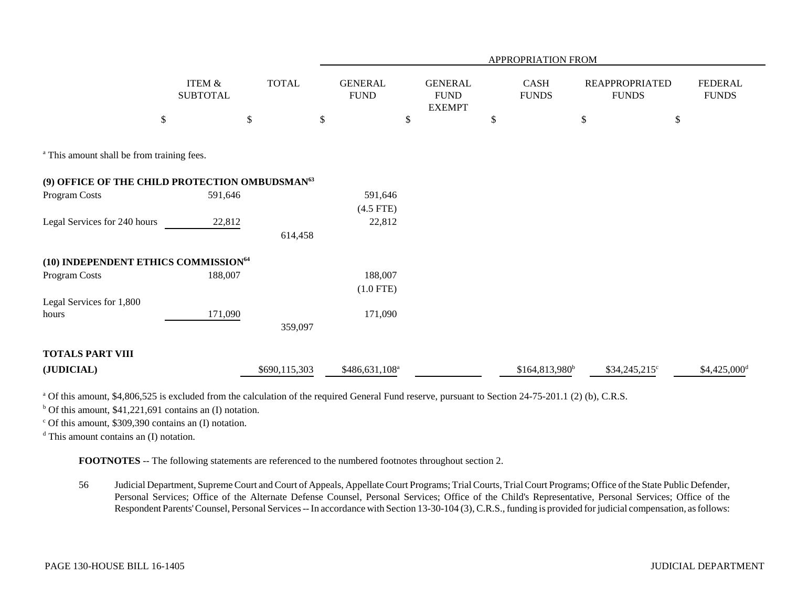|                                                            |                           |               |                                |                                                 | APPROPRIATION FROM         |                                       |                                |
|------------------------------------------------------------|---------------------------|---------------|--------------------------------|-------------------------------------------------|----------------------------|---------------------------------------|--------------------------------|
|                                                            | ITEM &<br><b>SUBTOTAL</b> | <b>TOTAL</b>  | <b>GENERAL</b><br>${\rm FUND}$ | <b>GENERAL</b><br>${\rm FUND}$<br><b>EXEMPT</b> | CASH<br><b>FUNDS</b>       | <b>REAPPROPRIATED</b><br><b>FUNDS</b> | <b>FEDERAL</b><br><b>FUNDS</b> |
| $\$$                                                       |                           | $\$$          | \$                             | \$                                              | \$                         | $\$$<br>$\$$                          |                                |
| <sup>a</sup> This amount shall be from training fees.      |                           |               |                                |                                                 |                            |                                       |                                |
| (9) OFFICE OF THE CHILD PROTECTION OMBUDSMAN <sup>63</sup> |                           |               |                                |                                                 |                            |                                       |                                |
| Program Costs                                              | 591,646                   |               | 591,646                        |                                                 |                            |                                       |                                |
|                                                            |                           |               | $(4.5$ FTE)                    |                                                 |                            |                                       |                                |
| Legal Services for 240 hours                               | 22,812                    |               | 22,812                         |                                                 |                            |                                       |                                |
|                                                            |                           | 614,458       |                                |                                                 |                            |                                       |                                |
| (10) INDEPENDENT ETHICS COMMISSION <sup>64</sup>           |                           |               |                                |                                                 |                            |                                       |                                |
| Program Costs                                              | 188,007                   |               | 188,007                        |                                                 |                            |                                       |                                |
|                                                            |                           |               | $(1.0$ FTE)                    |                                                 |                            |                                       |                                |
| Legal Services for 1,800                                   |                           |               |                                |                                                 |                            |                                       |                                |
| hours                                                      | 171,090                   |               | 171,090                        |                                                 |                            |                                       |                                |
|                                                            |                           | 359,097       |                                |                                                 |                            |                                       |                                |
| <b>TOTALS PART VIII</b>                                    |                           |               |                                |                                                 |                            |                                       |                                |
| (JUDICIAL)                                                 |                           | \$690,115,303 | \$486,631,108 <sup>a</sup>     |                                                 | \$164,813,980 <sup>b</sup> | \$34,245,215°                         | $$4,425,000$ <sup>d</sup>      |

<sup>a</sup> Of this amount, \$4,806,525 is excluded from the calculation of the required General Fund reserve, pursuant to Section 24-75-201.1 (2) (b), C.R.S.

 $b$  Of this amount, \$41,221,691 contains an (I) notation.

 $\degree$  Of this amount, \$309,390 contains an (I) notation.

d This amount contains an (I) notation.

**FOOTNOTES** -- The following statements are referenced to the numbered footnotes throughout section 2.

56 Judicial Department, Supreme Court and Court of Appeals, Appellate Court Programs; Trial Courts, Trial Court Programs; Office of the State Public Defender, Personal Services; Office of the Alternate Defense Counsel, Personal Services; Office of the Child's Representative, Personal Services; Office of the Respondent Parents' Counsel, Personal Services -- In accordance with Section 13-30-104 (3), C.R.S., funding is provided for judicial compensation, as follows: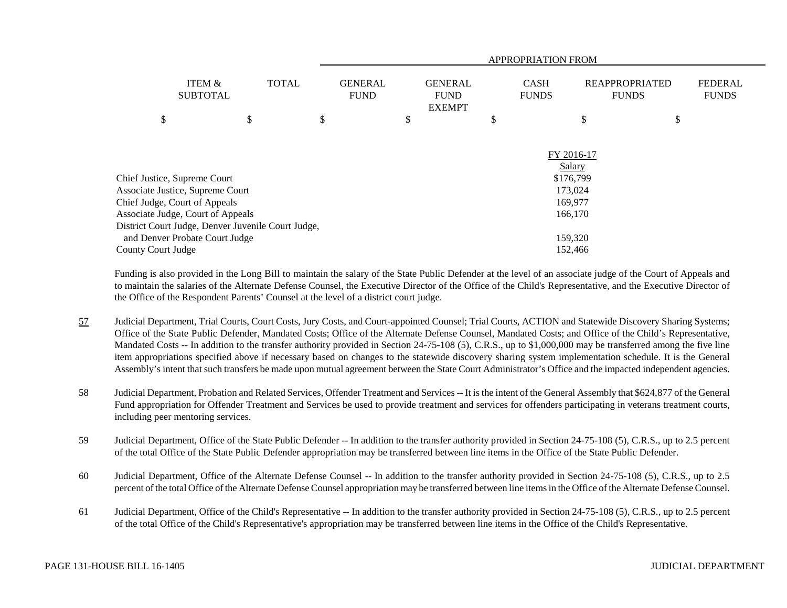|                              |                                                    |              | APPROPRIATION FROM            |         |                                                |         |                             |                                       |    |                                |
|------------------------------|----------------------------------------------------|--------------|-------------------------------|---------|------------------------------------------------|---------|-----------------------------|---------------------------------------|----|--------------------------------|
|                              | <b>ITEM &amp;</b><br><b>SUBTOTAL</b>               | <b>TOTAL</b> | <b>GENERAL</b><br><b>FUND</b> |         | <b>GENERAL</b><br><b>FUND</b><br><b>EXEMPT</b> |         | <b>CASH</b><br><b>FUNDS</b> | <b>REAPPROPRIATED</b><br><b>FUNDS</b> |    | <b>FEDERAL</b><br><b>FUNDS</b> |
| \$                           |                                                    | \$           | \$                            | \$      |                                                | \$      |                             | \$                                    | \$ |                                |
|                              |                                                    |              |                               |         |                                                |         | FY 2016-17                  | Salary                                |    |                                |
| Chief Justice, Supreme Court |                                                    |              |                               |         |                                                |         |                             | \$176,799                             |    |                                |
|                              | Associate Justice, Supreme Court                   |              |                               |         |                                                |         |                             | 173,024                               |    |                                |
|                              | Chief Judge, Court of Appeals                      |              |                               |         |                                                |         |                             | 169,977                               |    |                                |
|                              | Associate Judge, Court of Appeals                  |              |                               |         |                                                |         |                             | 166,170                               |    |                                |
|                              | District Court Judge, Denver Juvenile Court Judge, |              |                               |         |                                                |         |                             |                                       |    |                                |
|                              | and Denver Probate Court Judge                     |              |                               |         |                                                | 159,320 |                             |                                       |    |                                |
| County Court Judge           |                                                    |              |                               | 152,466 |                                                |         |                             |                                       |    |                                |

Funding is also provided in the Long Bill to maintain the salary of the State Public Defender at the level of an associate judge of the Court of Appeals and to maintain the salaries of the Alternate Defense Counsel, the Executive Director of the Office of the Child's Representative, and the Executive Director of the Office of the Respondent Parents' Counsel at the level of a district court judge.

- 57 Judicial Department, Trial Courts, Court Costs, Jury Costs, and Court-appointed Counsel; Trial Courts, ACTION and Statewide Discovery Sharing Systems; Office of the State Public Defender, Mandated Costs; Office of the Alternate Defense Counsel, Mandated Costs; and Office of the Child's Representative, Mandated Costs -- In addition to the transfer authority provided in Section 24-75-108 (5), C.R.S., up to \$1,000,000 may be transferred among the five line item appropriations specified above if necessary based on changes to the statewide discovery sharing system implementation schedule. It is the General Assembly's intent that such transfers be made upon mutual agreement between the State Court Administrator's Office and the impacted independent agencies.
- 58 Judicial Department, Probation and Related Services, Offender Treatment and Services -- It is the intent of the General Assembly that \$624,877 of the General Fund appropriation for Offender Treatment and Services be used to provide treatment and services for offenders participating in veterans treatment courts, including peer mentoring services.
- 59 Judicial Department, Office of the State Public Defender -- In addition to the transfer authority provided in Section 24-75-108 (5), C.R.S., up to 2.5 percent of the total Office of the State Public Defender appropriation may be transferred between line items in the Office of the State Public Defender.
- 60 Judicial Department, Office of the Alternate Defense Counsel -- In addition to the transfer authority provided in Section 24-75-108 (5), C.R.S., up to 2.5 percent of the total Office of the Alternate Defense Counsel appropriation may be transferred between line items in the Office of the Alternate Defense Counsel.
- 61 Judicial Department, Office of the Child's Representative -- In addition to the transfer authority provided in Section 24-75-108 (5), C.R.S., up to 2.5 percent of the total Office of the Child's Representative's appropriation may be transferred between line items in the Office of the Child's Representative.